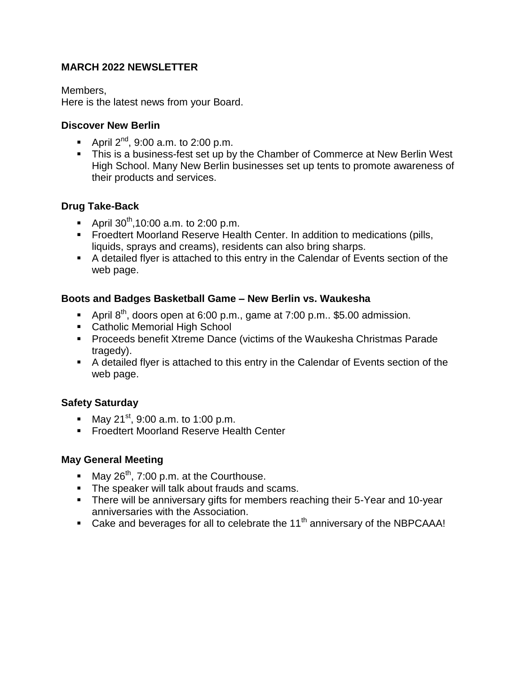# **MARCH 2022 NEWSLETTER**

Members,

Here is the latest news from your Board.

#### **Discover New Berlin**

- April  $2^{nd}$ , 9:00 a.m. to 2:00 p.m.
- This is a business-fest set up by the Chamber of Commerce at New Berlin West High School. Many New Berlin businesses set up tents to promote awareness of their products and services.

## **Drug Take-Back**

- April  $30^{th}$ ,10:00 a.m. to 2:00 p.m.
- **Froedtert Moorland Reserve Health Center. In addition to medications (pills, 4** liquids, sprays and creams), residents can also bring sharps.
- A detailed flyer is attached to this entry in the Calendar of Events section of the web page.

#### **Boots and Badges Basketball Game – New Berlin vs. Waukesha**

- April  $8<sup>th</sup>$ , doors open at 6:00 p.m., game at 7:00 p.m.. \$5.00 admission.
- Catholic Memorial High School
- **Proceeds benefit Xtreme Dance (victims of the Waukesha Christmas Parade** tragedy).
- A detailed flyer is attached to this entry in the Calendar of Events section of the web page.

## **Safety Saturday**

- May 21<sup>st</sup>, 9:00 a.m. to 1:00 p.m.
- **Froedtert Moorland Reserve Health Center**

#### **May General Meeting**

- May  $26^{th}$ , 7:00 p.m. at the Courthouse.
- **The speaker will talk about frauds and scams.**
- There will be anniversary gifts for members reaching their 5-Year and 10-year anniversaries with the Association.
- Cake and beverages for all to celebrate the  $11<sup>th</sup>$  anniversary of the NBPCAAA!